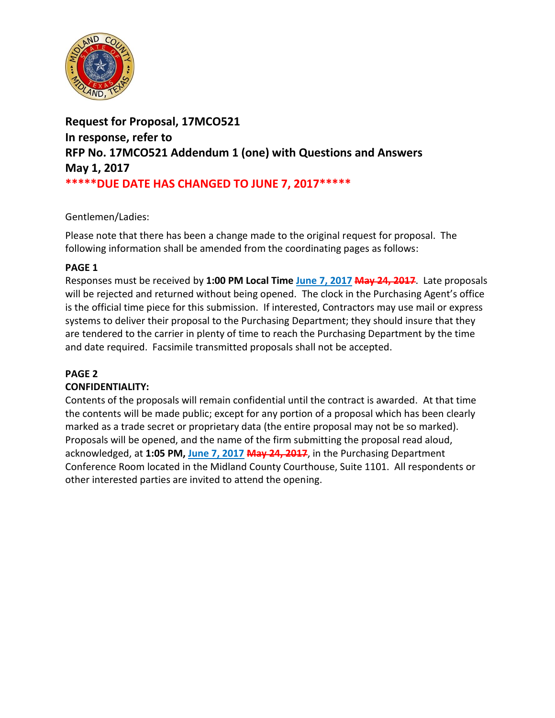

**Request for Proposal, 17MCO521 In response, refer to RFP No. 17MCO521 Addendum 1 (one) with Questions and Answers May 1, 2017 \*\*\*\*\*DUE DATE HAS CHANGED TO JUNE 7, 2017\*\*\*\*\***

## Gentlemen/Ladies:

Please note that there has been a change made to the original request for proposal. The following information shall be amended from the coordinating pages as follows:

## **PAGE 1**

Responses must be received by **1:00 PM Local Time June 7, 2017 May 24, 2017**. Late proposals will be rejected and returned without being opened. The clock in the Purchasing Agent's office is the official time piece for this submission. If interested, Contractors may use mail or express systems to deliver their proposal to the Purchasing Department; they should insure that they are tendered to the carrier in plenty of time to reach the Purchasing Department by the time and date required. Facsimile transmitted proposals shall not be accepted.

# **PAGE 2**

# **CONFIDENTIALITY:**

Contents of the proposals will remain confidential until the contract is awarded. At that time the contents will be made public; except for any portion of a proposal which has been clearly marked as a trade secret or proprietary data (the entire proposal may not be so marked). Proposals will be opened, and the name of the firm submitting the proposal read aloud, acknowledged, at **1:05 PM, June 7, 2017 May 24, 2017**, in the Purchasing Department Conference Room located in the Midland County Courthouse, Suite 1101. All respondents or other interested parties are invited to attend the opening.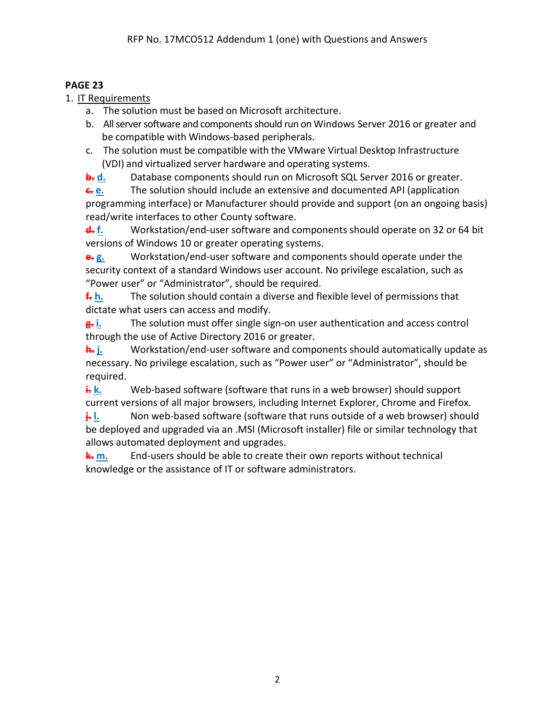# **PAGE 23**

1. IT Requirements

- a. The solution must be based on Microsoft architecture.
- b. All server software and components should run on Windows Server 2016 or greater and be compatible with Windows‐based peripherals.
- c. The solution must be compatible with the VMware Virtual Desktop Infrastructure (VDI) and virtualized server hardware and operating systems.

**b. d.** Database components should run on Microsoft SQL Server 2016 or greater.

**c. e.** The solution should include an extensive and documented API (application programming interface) or Manufacturer should provide and support (on an ongoing basis) read/write interfaces to other County software.

**d. f.** Workstation/end-user software and components should operate on 32 or 64 bit versions of Windows 10 or greater operating systems.

**e. g.** Workstation/end-user software and components should operate under the security context of a standard Windows user account. No privilege escalation, such as "Power user" or "Administrator", should be required.

**f. h.** The solution should contain a diverse and flexible level of permissions that dictate what users can access and modify.

**g. i.** The solution must offer single sign-on user authentication and access control through the use of Active Directory 2016 or greater.

**h. j.** Workstation/end-user software and components should automatically update as necessary. No privilege escalation, such as "Power user" or "Administrator", should be required.

**i. k.** Web-based software (software that runs in a web browser) should support current versions of all major browsers, including Internet Explorer, Chrome and Firefox.

**i. l.** Non web-based software (software that runs outside of a web browser) should be deployed and upgraded via an .MSI (Microsoft installer) file or similar technology that allows automated deployment and upgrades.

**k. m.** End-users should be able to create their own reports without technical knowledge or the assistance of IT or software administrators.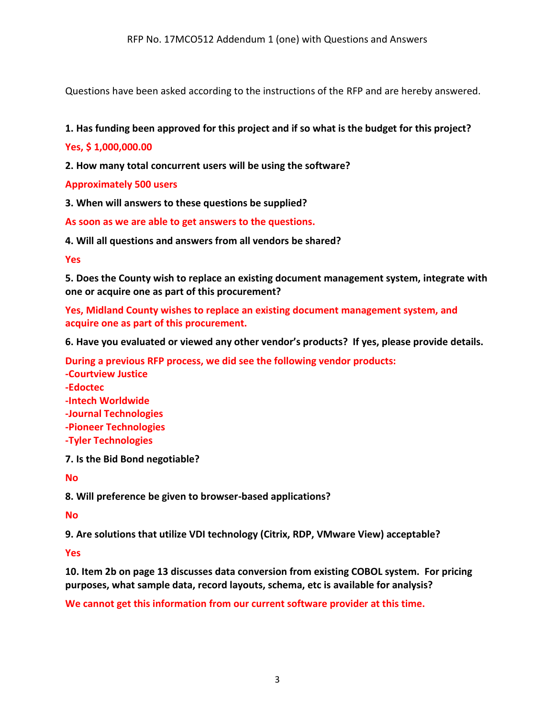Questions have been asked according to the instructions of the RFP and are hereby answered.

### **1. Has funding been approved for this project and if so what is the budget for this project?**

### **Yes, \$ 1,000,000.00**

**2. How many total concurrent users will be using the software?**

#### **Approximately 500 users**

**3. When will answers to these questions be supplied?**

**As soon as we are able to get answers to the questions.**

**4. Will all questions and answers from all vendors be shared?**

#### **Yes**

**5. Does the County wish to replace an existing document management system, integrate with one or acquire one as part of this procurement?**

**Yes, Midland County wishes to replace an existing document management system, and acquire one as part of this procurement.**

**6. Have you evaluated or viewed any other vendor's products? If yes, please provide details.**

**During a previous RFP process, we did see the following vendor products:**

**-Courtview Justice -Edoctec -Intech Worldwide -Journal Technologies -Pioneer Technologies -Tyler Technologies**

**7. Is the Bid Bond negotiable?**

**No**

**8. Will preference be given to browser-based applications?**

**No**

**9. Are solutions that utilize VDI technology (Citrix, RDP, VMware View) acceptable?**

**Yes**

**10. Item 2b on page 13 discusses data conversion from existing COBOL system. For pricing purposes, what sample data, record layouts, schema, etc is available for analysis?**

**We cannot get this information from our current software provider at this time.**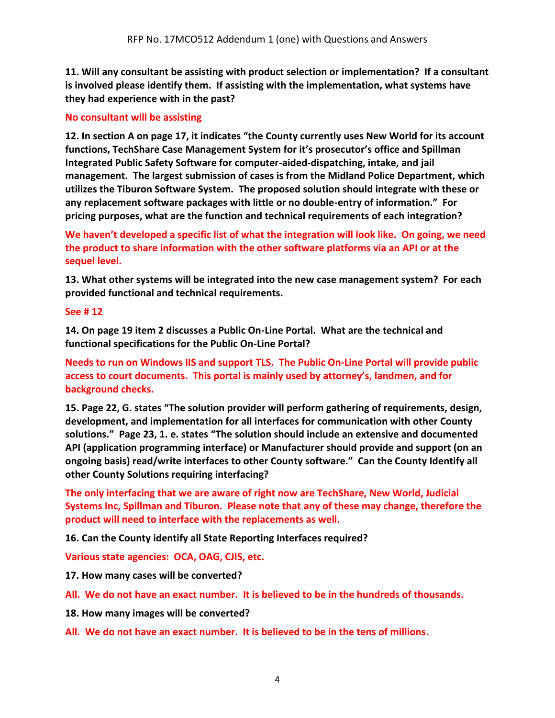**11. Will any consultant be assisting with product selection or implementation? If a consultant is involved please identify them. If assisting with the implementation, what systems have they had experience with in the past?**

### **No consultant will be assisting**

**12. In section A on page 17, it indicates "the County currently uses New World for its account functions, TechShare Case Management System for it's prosecutor's office and Spillman Integrated Public Safety Software for computer-aided-dispatching, intake, and jail management. The largest submission of cases is from the Midland Police Department, which utilizes the Tiburon Software System. The proposed solution should integrate with these or any replacement software packages with little or no double-entry of information." For pricing purposes, what are the function and technical requirements of each integration?**

**We haven't developed a specific list of what the integration will look like. On going, we need the product to share information with the other software platforms via an API or at the sequel level.**

**13. What other systems will be integrated into the new case management system? For each provided functional and technical requirements.**

#### **See # 12**

**14. On page 19 item 2 discusses a Public On-Line Portal. What are the technical and functional specifications for the Public On-Line Portal?**

**Needs to run on Windows IIS and support TLS. The Public On-Line Portal will provide public access to court documents. This portal is mainly used by attorney's, landmen, and for background checks.**

**15. Page 22, G. states "The solution provider will perform gathering of requirements, design, development, and implementation for all interfaces for communication with other County solutions." Page 23, 1. e. states "The solution should include an extensive and documented API (application programming interface) or Manufacturer should provide and support (on an ongoing basis) read/write interfaces to other County software." Can the County Identify all other County Solutions requiring interfacing?**

**The only interfacing that we are aware of right now are TechShare, New World, Judicial Systems Inc, Spillman and Tiburon. Please note that any of these may change, therefore the product will need to interface with the replacements as well.**

**16. Can the County identify all State Reporting Interfaces required?**

**Various state agencies: OCA, OAG, CJIS, etc.**

**17. How many cases will be converted?**

**All. We do not have an exact number. It is believed to be in the hundreds of thousands.**

**18. How many images will be converted?**

**All. We do not have an exact number. It is believed to be in the tens of millions.**